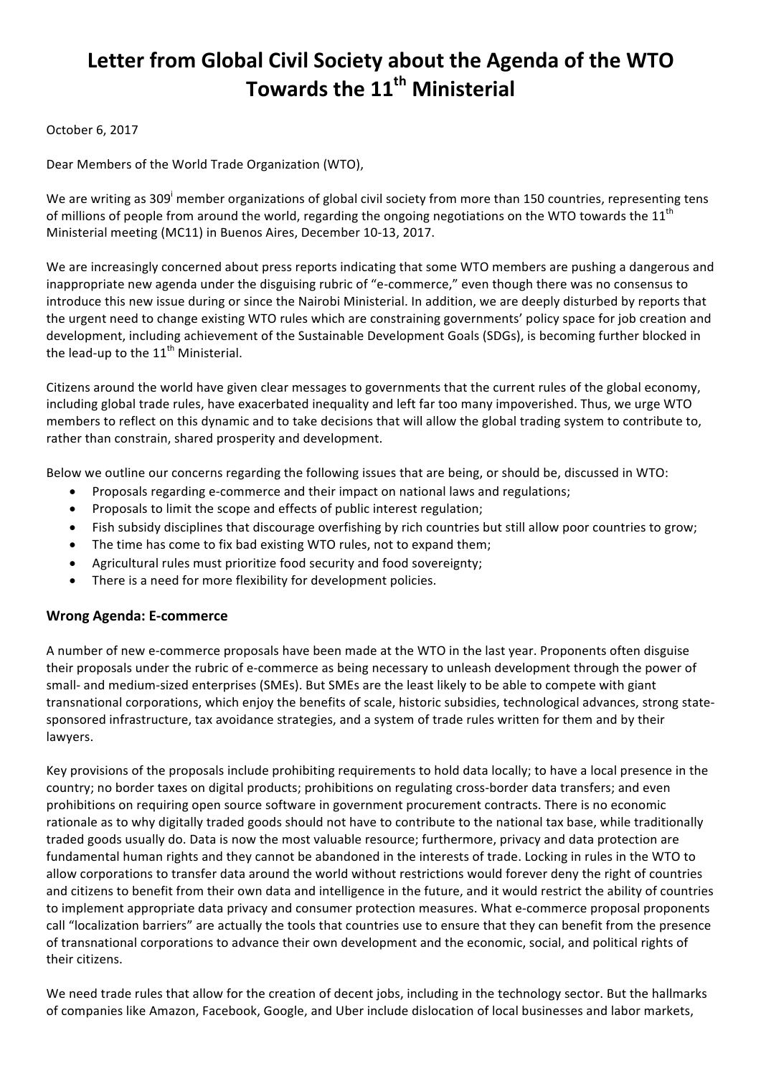# Letter from Global Civil Society about the Agenda of the WTO **Towards the 11th Ministerial**

#### October 6, 2017

Dear Members of the World Trade Organization (WTO),

We are writing as 309<sup>i</sup> member organizations of global civil society from more than 150 countries, representing tens of millions of people from around the world, regarding the ongoing negotiations on the WTO towards the  $11<sup>th</sup>$ Ministerial meeting (MC11) in Buenos Aires, December 10-13, 2017.

We are increasingly concerned about press reports indicating that some WTO members are pushing a dangerous and inappropriate new agenda under the disguising rubric of "e-commerce," even though there was no consensus to introduce this new issue during or since the Nairobi Ministerial. In addition, we are deeply disturbed by reports that the urgent need to change existing WTO rules which are constraining governments' policy space for job creation and development, including achievement of the Sustainable Development Goals (SDGs), is becoming further blocked in the lead-up to the  $11<sup>th</sup>$  Ministerial.

Citizens around the world have given clear messages to governments that the current rules of the global economy, including global trade rules, have exacerbated inequality and left far too many impoverished. Thus, we urge WTO members to reflect on this dynamic and to take decisions that will allow the global trading system to contribute to, rather than constrain, shared prosperity and development.

Below we outline our concerns regarding the following issues that are being, or should be, discussed in WTO:

- Proposals regarding e-commerce and their impact on national laws and regulations;
- Proposals to limit the scope and effects of public interest regulation;
- Fish subsidy disciplines that discourage overfishing by rich countries but still allow poor countries to grow;
- The time has come to fix bad existing WTO rules, not to expand them;
- Agricultural rules must prioritize food security and food sovereignty;
- There is a need for more flexibility for development policies.

## **Wrong Agenda: E-commerce**

A number of new e-commerce proposals have been made at the WTO in the last year. Proponents often disguise their proposals under the rubric of e-commerce as being necessary to unleash development through the power of small- and medium-sized enterprises (SMEs). But SMEs are the least likely to be able to compete with giant transnational corporations, which enjoy the benefits of scale, historic subsidies, technological advances, strong statesponsored infrastructure, tax avoidance strategies, and a system of trade rules written for them and by their lawyers.

Key provisions of the proposals include prohibiting requirements to hold data locally; to have a local presence in the country; no border taxes on digital products; prohibitions on regulating cross-border data transfers; and even prohibitions on requiring open source software in government procurement contracts. There is no economic rationale as to why digitally traded goods should not have to contribute to the national tax base, while traditionally traded goods usually do. Data is now the most valuable resource; furthermore, privacy and data protection are fundamental human rights and they cannot be abandoned in the interests of trade. Locking in rules in the WTO to allow corporations to transfer data around the world without restrictions would forever deny the right of countries and citizens to benefit from their own data and intelligence in the future, and it would restrict the ability of countries to implement appropriate data privacy and consumer protection measures. What e-commerce proposal proponents call "localization barriers" are actually the tools that countries use to ensure that they can benefit from the presence of transnational corporations to advance their own development and the economic, social, and political rights of their citizens.

We need trade rules that allow for the creation of decent jobs, including in the technology sector. But the hallmarks of companies like Amazon, Facebook, Google, and Uber include dislocation of local businesses and labor markets,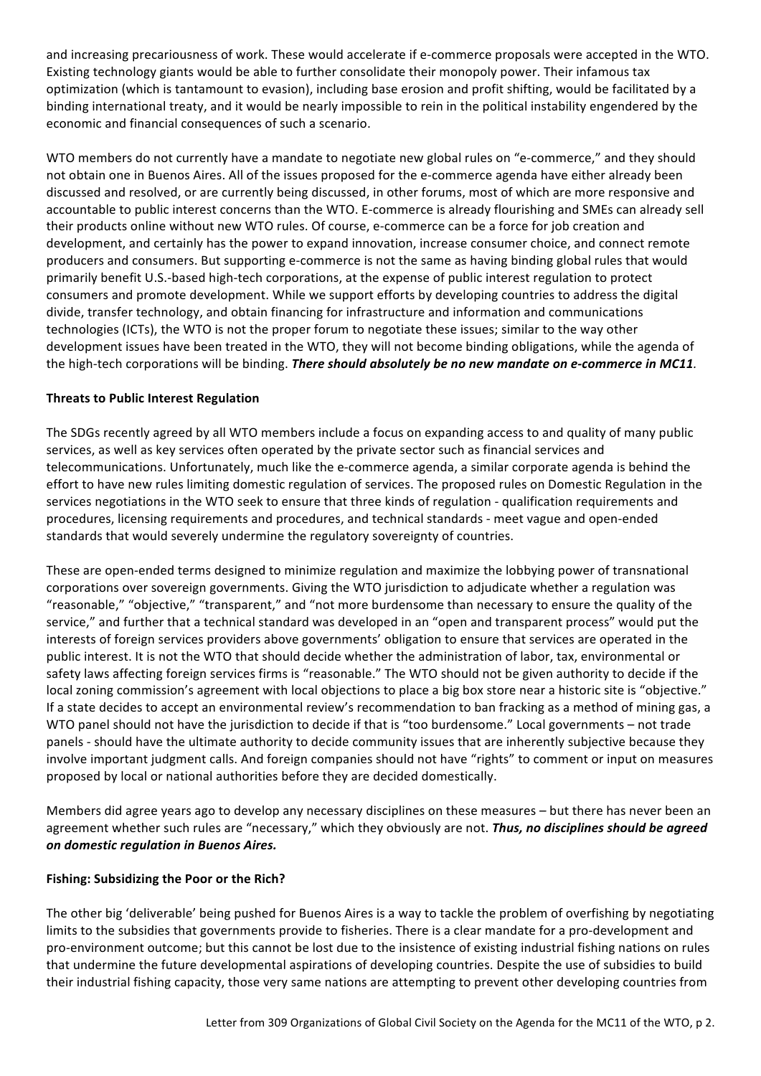and increasing precariousness of work. These would accelerate if e-commerce proposals were accepted in the WTO. Existing technology giants would be able to further consolidate their monopoly power. Their infamous tax optimization (which is tantamount to evasion), including base erosion and profit shifting, would be facilitated by a binding international treaty, and it would be nearly impossible to rein in the political instability engendered by the economic and financial consequences of such a scenario.

WTO members do not currently have a mandate to negotiate new global rules on "e-commerce," and they should not obtain one in Buenos Aires. All of the issues proposed for the e-commerce agenda have either already been discussed and resolved, or are currently being discussed, in other forums, most of which are more responsive and accountable to public interest concerns than the WTO. E-commerce is already flourishing and SMEs can already sell their products online without new WTO rules. Of course, e-commerce can be a force for job creation and development, and certainly has the power to expand innovation, increase consumer choice, and connect remote producers and consumers. But supporting e-commerce is not the same as having binding global rules that would primarily benefit U.S.-based high-tech corporations, at the expense of public interest regulation to protect consumers and promote development. While we support efforts by developing countries to address the digital divide, transfer technology, and obtain financing for infrastructure and information and communications technologies (ICTs), the WTO is not the proper forum to negotiate these issues; similar to the way other development issues have been treated in the WTO, they will not become binding obligations, while the agenda of the high-tech corporations will be binding. *There should absolutely be no new mandate on e-commerce in MC11*.

#### **Threats to Public Interest Regulation**

The SDGs recently agreed by all WTO members include a focus on expanding access to and quality of many public services, as well as key services often operated by the private sector such as financial services and telecommunications. Unfortunately, much like the e-commerce agenda, a similar corporate agenda is behind the effort to have new rules limiting domestic regulation of services. The proposed rules on Domestic Regulation in the services negotiations in the WTO seek to ensure that three kinds of regulation - qualification requirements and procedures, licensing requirements and procedures, and technical standards - meet vague and open-ended standards that would severely undermine the regulatory sovereignty of countries.

These are open-ended terms designed to minimize regulation and maximize the lobbying power of transnational corporations over sovereign governments. Giving the WTO jurisdiction to adjudicate whether a regulation was "reasonable," "objective," "transparent," and "not more burdensome than necessary to ensure the quality of the service," and further that a technical standard was developed in an "open and transparent process" would put the interests of foreign services providers above governments' obligation to ensure that services are operated in the public interest. It is not the WTO that should decide whether the administration of labor, tax, environmental or safety laws affecting foreign services firms is "reasonable." The WTO should not be given authority to decide if the local zoning commission's agreement with local objections to place a big box store near a historic site is "objective." If a state decides to accept an environmental review's recommendation to ban fracking as a method of mining gas, a WTO panel should not have the jurisdiction to decide if that is "too burdensome." Local governments – not trade panels - should have the ultimate authority to decide community issues that are inherently subjective because they involve important judgment calls. And foreign companies should not have "rights" to comment or input on measures proposed by local or national authorities before they are decided domestically.

Members did agree years ago to develop any necessary disciplines on these measures – but there has never been an agreement whether such rules are "necessary," which they obviously are not. Thus, no disciplines should be agreed *on domestic regulation in Buenos Aires.*

## Fishing: Subsidizing the Poor or the Rich?

The other big 'deliverable' being pushed for Buenos Aires is a way to tackle the problem of overfishing by negotiating limits to the subsidies that governments provide to fisheries. There is a clear mandate for a pro-development and pro-environment outcome; but this cannot be lost due to the insistence of existing industrial fishing nations on rules that undermine the future developmental aspirations of developing countries. Despite the use of subsidies to build their industrial fishing capacity, those very same nations are attempting to prevent other developing countries from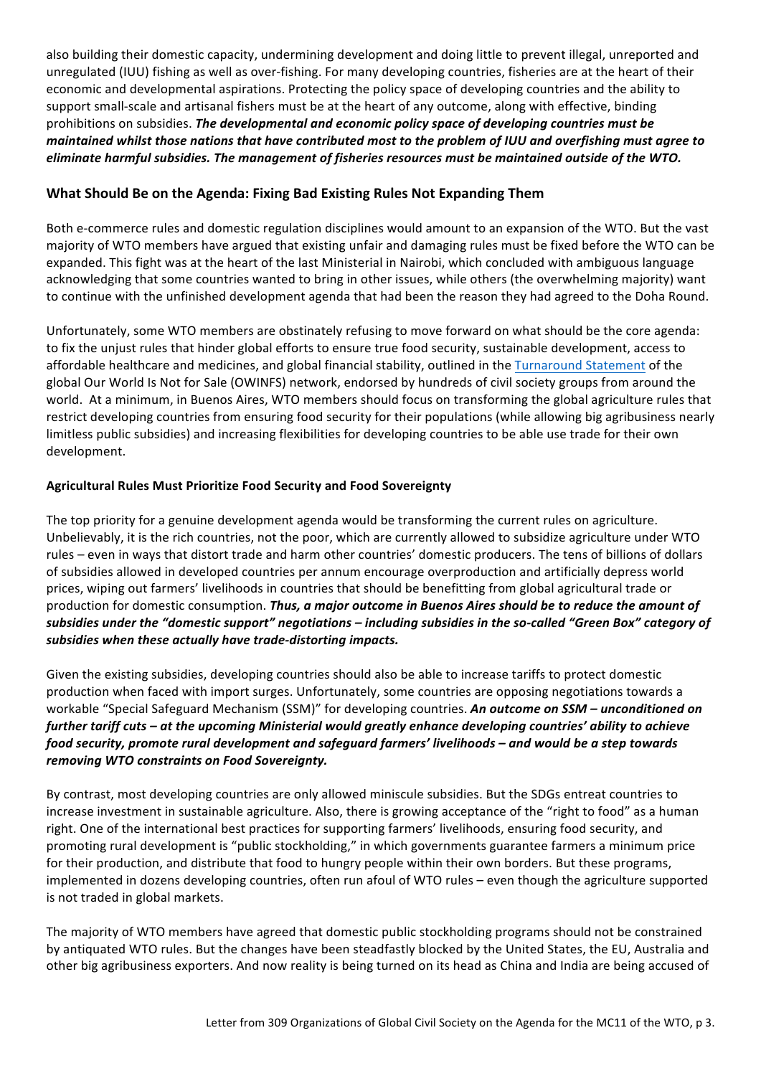also building their domestic capacity, undermining development and doing little to prevent illegal, unreported and unregulated (IUU) fishing as well as over-fishing. For many developing countries, fisheries are at the heart of their economic and developmental aspirations. Protecting the policy space of developing countries and the ability to support small-scale and artisanal fishers must be at the heart of any outcome, along with effective, binding prohibitions on subsidies. The developmental and economic policy space of developing countries must be *maintained whilst those nations that have contributed most to the problem of IUU and overfishing must agree to eliminate harmful subsidies. The management of fisheries resources must be maintained outside of the WTO.* 

## **What Should Be on the Agenda: Fixing Bad Existing Rules Not Expanding Them**

Both e-commerce rules and domestic regulation disciplines would amount to an expansion of the WTO. But the vast majority of WTO members have argued that existing unfair and damaging rules must be fixed before the WTO can be expanded. This fight was at the heart of the last Ministerial in Nairobi, which concluded with ambiguous language acknowledging that some countries wanted to bring in other issues, while others (the overwhelming majority) want to continue with the unfinished development agenda that had been the reason they had agreed to the Doha Round.

Unfortunately, some WTO members are obstinately refusing to move forward on what should be the core agenda: to fix the unjust rules that hinder global efforts to ensure true food security, sustainable development, access to affordable healthcare and medicines, and global financial stability, outlined in the Turnaround Statement of the global Our World Is Not for Sale (OWINFS) network, endorsed by hundreds of civil society groups from around the world. At a minimum, in Buenos Aires, WTO members should focus on transforming the global agriculture rules that restrict developing countries from ensuring food security for their populations (while allowing big agribusiness nearly limitless public subsidies) and increasing flexibilities for developing countries to be able use trade for their own development. 

## **Agricultural Rules Must Prioritize Food Security and Food Sovereignty**

The top priority for a genuine development agenda would be transforming the current rules on agriculture. Unbelievably, it is the rich countries, not the poor, which are currently allowed to subsidize agriculture under WTO rules – even in ways that distort trade and harm other countries' domestic producers. The tens of billions of dollars of subsidies allowed in developed countries per annum encourage overproduction and artificially depress world prices, wiping out farmers' livelihoods in countries that should be benefitting from global agricultural trade or production for domestic consumption. *Thus, a major outcome in Buenos Aires should be to reduce the amount of* subsidies under the "domestic support" negotiations – including subsidies in the so-called "Green Box" category of subsidies when these actually have trade-distorting impacts.

Given the existing subsidies, developing countries should also be able to increase tariffs to protect domestic production when faced with import surges. Unfortunately, some countries are opposing negotiations towards a workable "Special Safeguard Mechanism (SSM)" for developing countries. An outcome on SSM – unconditioned on further tariff cuts – at the upcoming Ministerial would greatly enhance developing countries' ability to achieve *food security, promote rural development and safeguard farmers' livelihoods* – and would be a step towards removing WTO constraints on Food Sovereignty.

By contrast, most developing countries are only allowed miniscule subsidies. But the SDGs entreat countries to increase investment in sustainable agriculture. Also, there is growing acceptance of the "right to food" as a human right. One of the international best practices for supporting farmers' livelihoods, ensuring food security, and promoting rural development is "public stockholding," in which governments guarantee farmers a minimum price for their production, and distribute that food to hungry people within their own borders. But these programs, implemented in dozens developing countries, often run afoul of WTO rules – even though the agriculture supported is not traded in global markets.

The majority of WTO members have agreed that domestic public stockholding programs should not be constrained by antiquated WTO rules. But the changes have been steadfastly blocked by the United States, the EU, Australia and other big agribusiness exporters. And now reality is being turned on its head as China and India are being accused of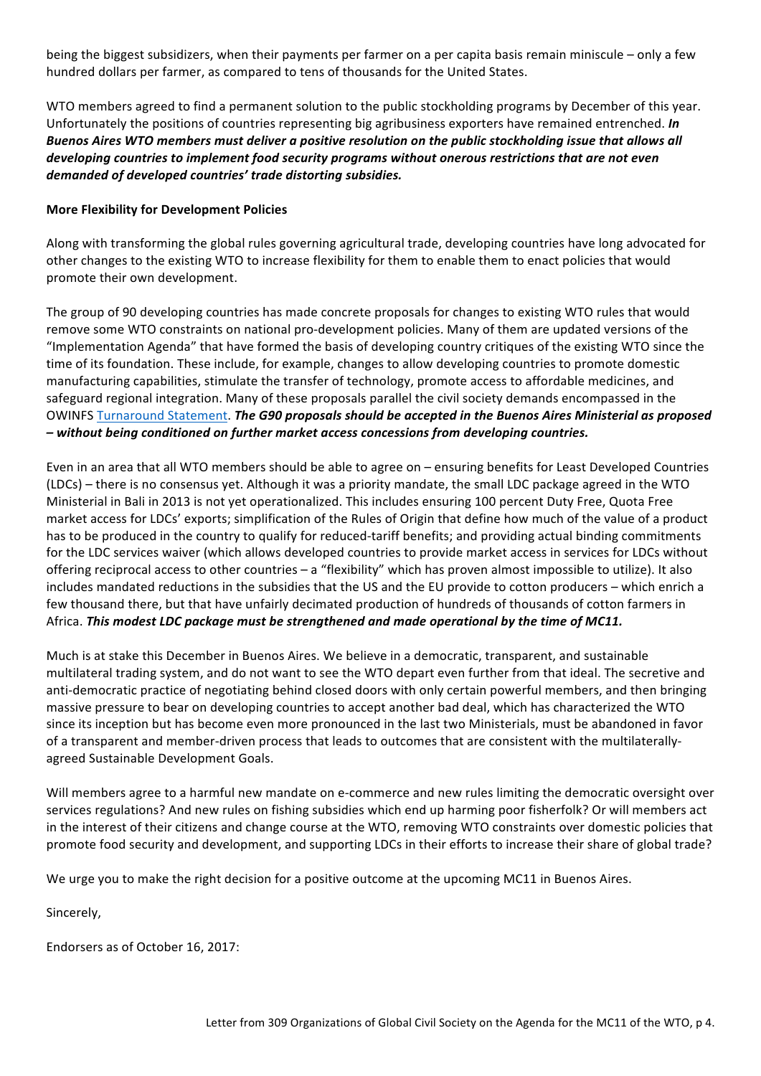being the biggest subsidizers, when their payments per farmer on a per capita basis remain miniscule – only a few hundred dollars per farmer, as compared to tens of thousands for the United States.

WTO members agreed to find a permanent solution to the public stockholding programs by December of this year. Unfortunately the positions of countries representing big agribusiness exporters have remained entrenched. *In Buenos Aires WTO members must deliver a positive resolution on the public stockholding issue that allows all* developing countries to implement food security programs without onerous restrictions that are not even demanded of developed countries' trade distorting subsidies.

#### **More Flexibility for Development Policies**

Along with transforming the global rules governing agricultural trade, developing countries have long advocated for other changes to the existing WTO to increase flexibility for them to enable them to enact policies that would promote their own development.

The group of 90 developing countries has made concrete proposals for changes to existing WTO rules that would remove some WTO constraints on national pro-development policies. Many of them are updated versions of the "Implementation Agenda" that have formed the basis of developing country critiques of the existing WTO since the time of its foundation. These include, for example, changes to allow developing countries to promote domestic manufacturing capabilities, stimulate the transfer of technology, promote access to affordable medicines, and safeguard regional integration. Many of these proposals parallel the civil society demands encompassed in the OWINFS Turnaround Statement. *The G90 proposals should be accepted in the Buenos Aires Ministerial as proposed – without being conditioned on further market access concessions from developing countries.* 

Even in an area that all WTO members should be able to agree on – ensuring benefits for Least Developed Countries (LDCs) – there is no consensus yet. Although it was a priority mandate, the small LDC package agreed in the WTO Ministerial in Bali in 2013 is not yet operationalized. This includes ensuring 100 percent Duty Free, Quota Free market access for LDCs' exports; simplification of the Rules of Origin that define how much of the value of a product has to be produced in the country to qualify for reduced-tariff benefits; and providing actual binding commitments for the LDC services waiver (which allows developed countries to provide market access in services for LDCs without offering reciprocal access to other countries – a "flexibility" which has proven almost impossible to utilize). It also includes mandated reductions in the subsidies that the US and the EU provide to cotton producers – which enrich a few thousand there, but that have unfairly decimated production of hundreds of thousands of cotton farmers in Africa. This modest LDC package must be strengthened and made operational by the time of MC11.

Much is at stake this December in Buenos Aires. We believe in a democratic, transparent, and sustainable multilateral trading system, and do not want to see the WTO depart even further from that ideal. The secretive and anti-democratic practice of negotiating behind closed doors with only certain powerful members, and then bringing massive pressure to bear on developing countries to accept another bad deal, which has characterized the WTO since its inception but has become even more pronounced in the last two Ministerials, must be abandoned in favor of a transparent and member-driven process that leads to outcomes that are consistent with the multilaterallyagreed Sustainable Development Goals.

Will members agree to a harmful new mandate on e-commerce and new rules limiting the democratic oversight over services regulations? And new rules on fishing subsidies which end up harming poor fisherfolk? Or will members act in the interest of their citizens and change course at the WTO, removing WTO constraints over domestic policies that promote food security and development, and supporting LDCs in their efforts to increase their share of global trade?

We urge you to make the right decision for a positive outcome at the upcoming MC11 in Buenos Aires.

Sincerely, 

Endorsers as of October 16, 2017: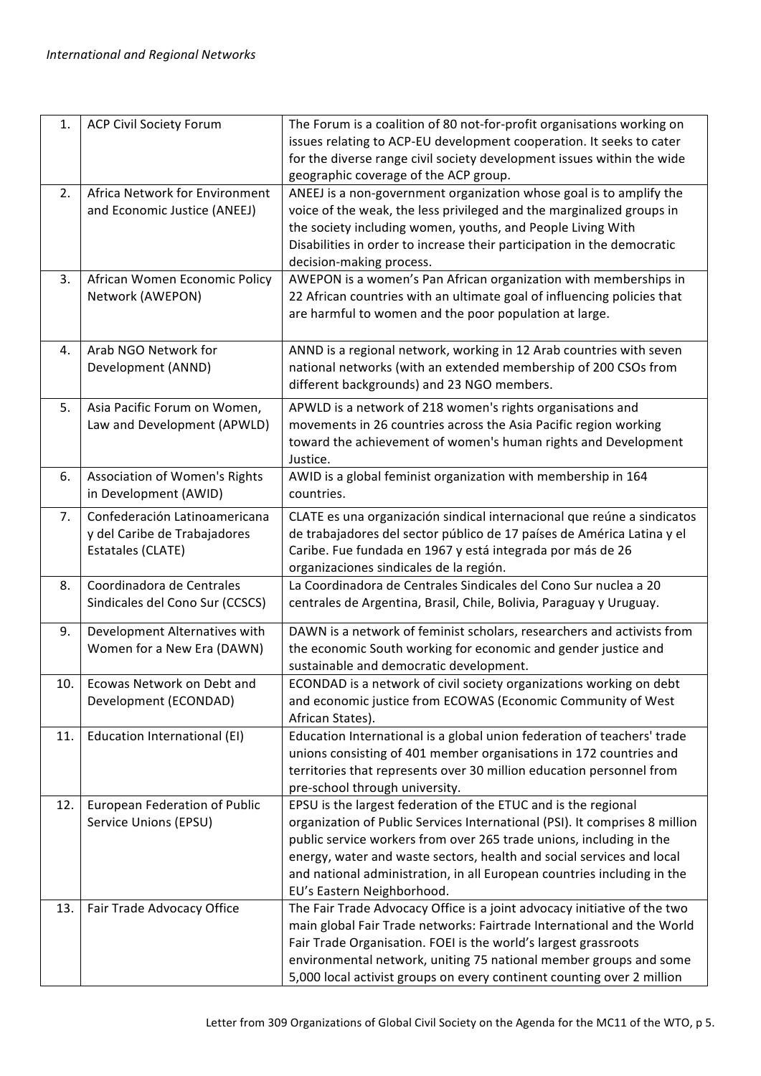| 1.  | <b>ACP Civil Society Forum</b>                                                     | The Forum is a coalition of 80 not-for-profit organisations working on<br>issues relating to ACP-EU development cooperation. It seeks to cater<br>for the diverse range civil society development issues within the wide<br>geographic coverage of the ACP group.                                                                                                                                      |
|-----|------------------------------------------------------------------------------------|--------------------------------------------------------------------------------------------------------------------------------------------------------------------------------------------------------------------------------------------------------------------------------------------------------------------------------------------------------------------------------------------------------|
| 2.  | Africa Network for Environment<br>and Economic Justice (ANEEJ)                     | ANEEJ is a non-government organization whose goal is to amplify the<br>voice of the weak, the less privileged and the marginalized groups in<br>the society including women, youths, and People Living With<br>Disabilities in order to increase their participation in the democratic<br>decision-making process.                                                                                     |
| 3.  | African Women Economic Policy<br>Network (AWEPON)                                  | AWEPON is a women's Pan African organization with memberships in<br>22 African countries with an ultimate goal of influencing policies that<br>are harmful to women and the poor population at large.                                                                                                                                                                                                  |
| 4.  | Arab NGO Network for<br>Development (ANND)                                         | ANND is a regional network, working in 12 Arab countries with seven<br>national networks (with an extended membership of 200 CSOs from<br>different backgrounds) and 23 NGO members.                                                                                                                                                                                                                   |
| 5.  | Asia Pacific Forum on Women,<br>Law and Development (APWLD)                        | APWLD is a network of 218 women's rights organisations and<br>movements in 26 countries across the Asia Pacific region working<br>toward the achievement of women's human rights and Development<br>Justice.                                                                                                                                                                                           |
| 6.  | <b>Association of Women's Rights</b><br>in Development (AWID)                      | AWID is a global feminist organization with membership in 164<br>countries.                                                                                                                                                                                                                                                                                                                            |
| 7.  | Confederación Latinoamericana<br>y del Caribe de Trabajadores<br>Estatales (CLATE) | CLATE es una organización sindical internacional que reúne a sindicatos<br>de trabajadores del sector público de 17 países de América Latina y el<br>Caribe. Fue fundada en 1967 y está integrada por más de 26<br>organizaciones sindicales de la región.                                                                                                                                             |
| 8.  | Coordinadora de Centrales<br>Sindicales del Cono Sur (CCSCS)                       | La Coordinadora de Centrales Sindicales del Cono Sur nuclea a 20<br>centrales de Argentina, Brasil, Chile, Bolivia, Paraguay y Uruguay.                                                                                                                                                                                                                                                                |
| 9.  | Development Alternatives with<br>Women for a New Era (DAWN)                        | DAWN is a network of feminist scholars, researchers and activists from<br>the economic South working for economic and gender justice and<br>sustainable and democratic development.                                                                                                                                                                                                                    |
| 10. | Ecowas Network on Debt and<br>Development (ECONDAD)                                | ECONDAD is a network of civil society organizations working on debt<br>and economic justice from ECOWAS (Economic Community of West<br>African States).                                                                                                                                                                                                                                                |
| 11. | Education International (EI)                                                       | Education International is a global union federation of teachers' trade<br>unions consisting of 401 member organisations in 172 countries and<br>territories that represents over 30 million education personnel from<br>pre-school through university.                                                                                                                                                |
| 12. | <b>European Federation of Public</b><br>Service Unions (EPSU)                      | EPSU is the largest federation of the ETUC and is the regional<br>organization of Public Services International (PSI). It comprises 8 million<br>public service workers from over 265 trade unions, including in the<br>energy, water and waste sectors, health and social services and local<br>and national administration, in all European countries including in the<br>EU's Eastern Neighborhood. |
| 13. | Fair Trade Advocacy Office                                                         | The Fair Trade Advocacy Office is a joint advocacy initiative of the two<br>main global Fair Trade networks: Fairtrade International and the World<br>Fair Trade Organisation. FOEI is the world's largest grassroots<br>environmental network, uniting 75 national member groups and some<br>5,000 local activist groups on every continent counting over 2 million                                   |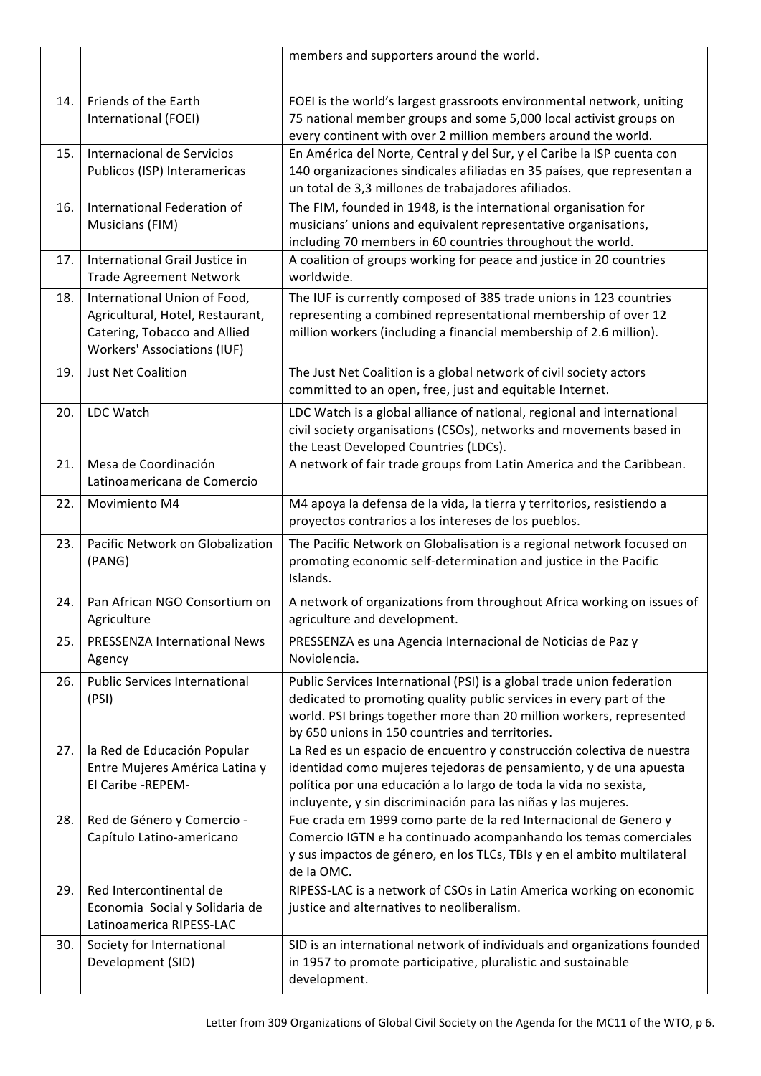|      |                                                                                                                                        | members and supporters around the world.                                                                                                                                                                                                                                          |
|------|----------------------------------------------------------------------------------------------------------------------------------------|-----------------------------------------------------------------------------------------------------------------------------------------------------------------------------------------------------------------------------------------------------------------------------------|
| 14.  | Friends of the Earth<br>International (FOEI)                                                                                           | FOEI is the world's largest grassroots environmental network, uniting<br>75 national member groups and some 5,000 local activist groups on<br>every continent with over 2 million members around the world.                                                                       |
| 15.  | Internacional de Servicios<br>Publicos (ISP) Interamericas                                                                             | En América del Norte, Central y del Sur, y el Caribe la ISP cuenta con<br>140 organizaciones sindicales afiliadas en 35 países, que representan a<br>un total de 3,3 millones de trabajadores afiliados.                                                                          |
| 16.  | International Federation of<br>Musicians (FIM)                                                                                         | The FIM, founded in 1948, is the international organisation for<br>musicians' unions and equivalent representative organisations,<br>including 70 members in 60 countries throughout the world.                                                                                   |
| 17.  | International Grail Justice in<br><b>Trade Agreement Network</b>                                                                       | A coalition of groups working for peace and justice in 20 countries<br>worldwide.                                                                                                                                                                                                 |
| 18.  | International Union of Food,<br>Agricultural, Hotel, Restaurant,<br>Catering, Tobacco and Allied<br><b>Workers' Associations (IUF)</b> | The IUF is currently composed of 385 trade unions in 123 countries<br>representing a combined representational membership of over 12<br>million workers (including a financial membership of 2.6 million).                                                                        |
| 19.  | <b>Just Net Coalition</b>                                                                                                              | The Just Net Coalition is a global network of civil society actors<br>committed to an open, free, just and equitable Internet.                                                                                                                                                    |
| 20.  | LDC Watch                                                                                                                              | LDC Watch is a global alliance of national, regional and international<br>civil society organisations (CSOs), networks and movements based in<br>the Least Developed Countries (LDCs).                                                                                            |
| 21.  | Mesa de Coordinación<br>Latinoamericana de Comercio                                                                                    | A network of fair trade groups from Latin America and the Caribbean.                                                                                                                                                                                                              |
| 22.  | Movimiento M4                                                                                                                          | M4 apoya la defensa de la vida, la tierra y territorios, resistiendo a<br>proyectos contrarios a los intereses de los pueblos.                                                                                                                                                    |
| 23.  | Pacific Network on Globalization<br>(PANG)                                                                                             | The Pacific Network on Globalisation is a regional network focused on<br>promoting economic self-determination and justice in the Pacific<br>Islands.                                                                                                                             |
| 24.  | Pan African NGO Consortium on<br>Agriculture                                                                                           | A network of organizations from throughout Africa working on issues of<br>agriculture and development.                                                                                                                                                                            |
| 25.  | <b>PRESSENZA International News</b><br>Agency                                                                                          | PRESSENZA es una Agencia Internacional de Noticias de Paz y<br>Noviolencia.                                                                                                                                                                                                       |
| 26.  | <b>Public Services International</b><br>(PSI)                                                                                          | Public Services International (PSI) is a global trade union federation<br>dedicated to promoting quality public services in every part of the<br>world. PSI brings together more than 20 million workers, represented<br>by 650 unions in 150 countries and territories.          |
| 27.1 | la Red de Educación Popular<br>Entre Mujeres América Latina y<br>El Caribe - REPEM-                                                    | La Red es un espacio de encuentro y construcción colectiva de nuestra<br>identidad como mujeres tejedoras de pensamiento, y de una apuesta<br>política por una educación a lo largo de toda la vida no sexista,<br>incluyente, y sin discriminación para las niñas y las mujeres. |
| 28.  | Red de Género y Comercio -<br>Capítulo Latino-americano                                                                                | Fue crada em 1999 como parte de la red Internacional de Genero y<br>Comercio IGTN e ha continuado acompanhando los temas comerciales<br>y sus impactos de género, en los TLCs, TBIs y en el ambito multilateral<br>de la OMC.                                                     |
| 29.  | Red Intercontinental de<br>Economia Social y Solidaria de<br>Latinoamerica RIPESS-LAC                                                  | RIPESS-LAC is a network of CSOs in Latin America working on economic<br>justice and alternatives to neoliberalism.                                                                                                                                                                |
| 30.  | Society for International<br>Development (SID)                                                                                         | SID is an international network of individuals and organizations founded<br>in 1957 to promote participative, pluralistic and sustainable<br>development.                                                                                                                         |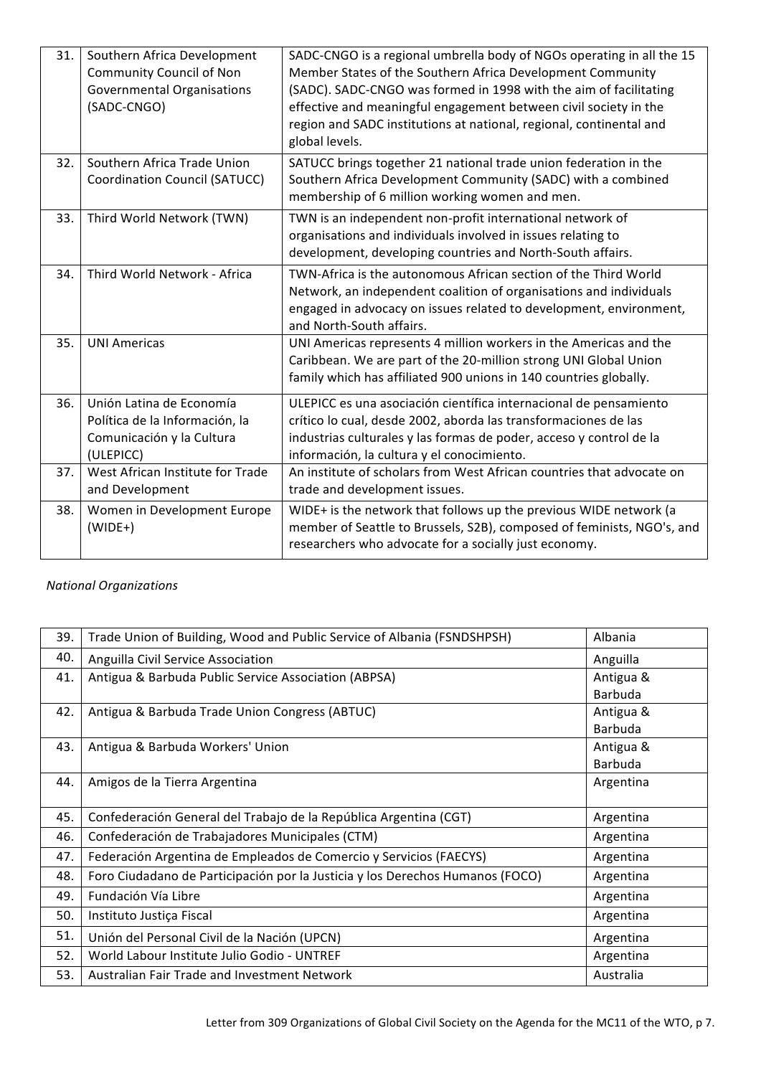| 31. | Southern Africa Development<br><b>Community Council of Non</b><br><b>Governmental Organisations</b><br>(SADC-CNGO) | SADC-CNGO is a regional umbrella body of NGOs operating in all the 15<br>Member States of the Southern Africa Development Community<br>(SADC). SADC-CNGO was formed in 1998 with the aim of facilitating<br>effective and meaningful engagement between civil society in the<br>region and SADC institutions at national, regional, continental and<br>global levels. |
|-----|--------------------------------------------------------------------------------------------------------------------|-----------------------------------------------------------------------------------------------------------------------------------------------------------------------------------------------------------------------------------------------------------------------------------------------------------------------------------------------------------------------|
| 32. | Southern Africa Trade Union<br>Coordination Council (SATUCC)                                                       | SATUCC brings together 21 national trade union federation in the<br>Southern Africa Development Community (SADC) with a combined<br>membership of 6 million working women and men.                                                                                                                                                                                    |
| 33. | Third World Network (TWN)                                                                                          | TWN is an independent non-profit international network of<br>organisations and individuals involved in issues relating to<br>development, developing countries and North-South affairs.                                                                                                                                                                               |
| 34. | Third World Network - Africa                                                                                       | TWN-Africa is the autonomous African section of the Third World<br>Network, an independent coalition of organisations and individuals<br>engaged in advocacy on issues related to development, environment,<br>and North-South affairs.                                                                                                                               |
| 35. | <b>UNI Americas</b>                                                                                                | UNI Americas represents 4 million workers in the Americas and the<br>Caribbean. We are part of the 20-million strong UNI Global Union<br>family which has affiliated 900 unions in 140 countries globally.                                                                                                                                                            |
| 36. | Unión Latina de Economía<br>Política de la Información, la<br>Comunicación y la Cultura<br>(ULEPICC)               | ULEPICC es una asociación científica internacional de pensamiento<br>crítico lo cual, desde 2002, aborda las transformaciones de las<br>industrias culturales y las formas de poder, acceso y control de la<br>información, la cultura y el conocimiento.                                                                                                             |
| 37. | West African Institute for Trade<br>and Development                                                                | An institute of scholars from West African countries that advocate on<br>trade and development issues.                                                                                                                                                                                                                                                                |
| 38. | Women in Development Europe<br>$(WIDE+)$                                                                           | WIDE+ is the network that follows up the previous WIDE network (a<br>member of Seattle to Brussels, S2B), composed of feminists, NGO's, and<br>researchers who advocate for a socially just economy.                                                                                                                                                                  |

# *National Organizations*

| 39. | Trade Union of Building, Wood and Public Service of Albania (FSNDSHPSH)       | Albania   |
|-----|-------------------------------------------------------------------------------|-----------|
| 40. | Anguilla Civil Service Association                                            | Anguilla  |
| 41. | Antigua & Barbuda Public Service Association (ABPSA)                          | Antigua & |
|     |                                                                               | Barbuda   |
| 42. | Antigua & Barbuda Trade Union Congress (ABTUC)                                | Antigua & |
|     |                                                                               | Barbuda   |
| 43. | Antigua & Barbuda Workers' Union                                              | Antigua & |
|     |                                                                               | Barbuda   |
| 44. | Amigos de la Tierra Argentina                                                 | Argentina |
|     |                                                                               |           |
| 45. | Confederación General del Trabajo de la República Argentina (CGT)             | Argentina |
| 46. | Confederación de Trabajadores Municipales (CTM)                               | Argentina |
| 47. | Federación Argentina de Empleados de Comercio y Servicios (FAECYS)            | Argentina |
| 48. | Foro Ciudadano de Participación por la Justicia y los Derechos Humanos (FOCO) | Argentina |
| 49. | Fundación Vía Libre                                                           | Argentina |
| 50. | Instituto Justiça Fiscal                                                      | Argentina |
| 51. | Unión del Personal Civil de la Nación (UPCN)                                  | Argentina |
| 52. | World Labour Institute Julio Godio - UNTREF                                   | Argentina |
| 53. | Australian Fair Trade and Investment Network                                  | Australia |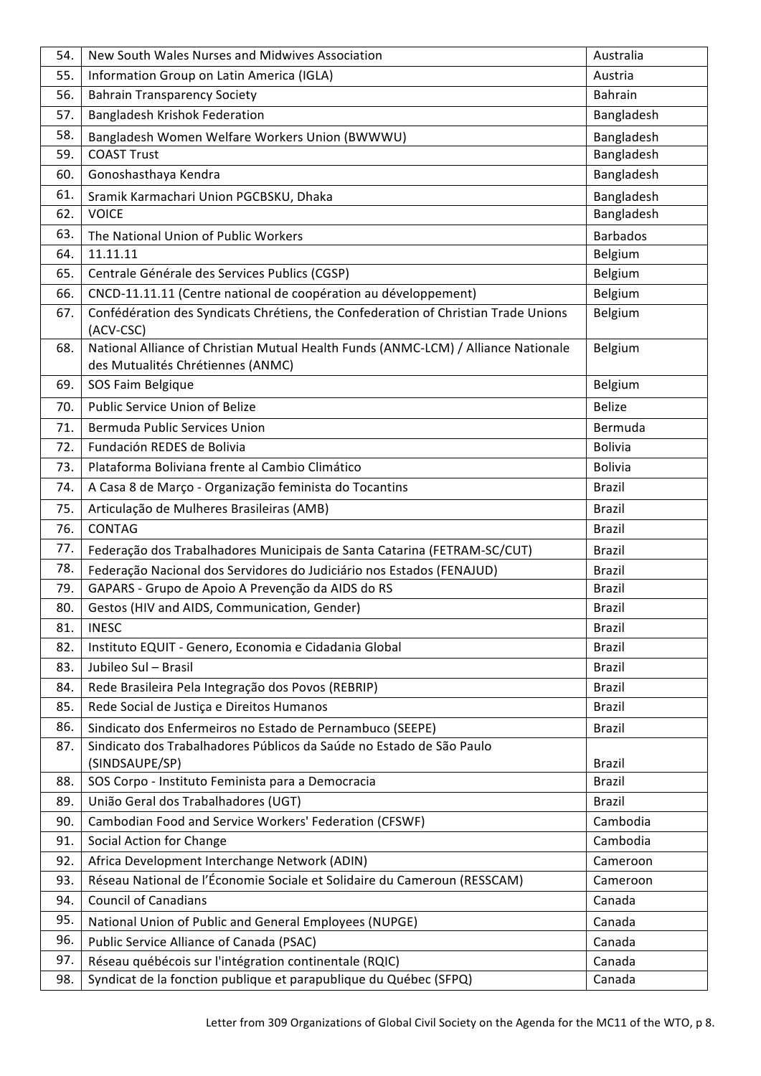| 54. | New South Wales Nurses and Midwives Association                                                                         | Australia       |
|-----|-------------------------------------------------------------------------------------------------------------------------|-----------------|
| 55. | Information Group on Latin America (IGLA)                                                                               | Austria         |
| 56. | <b>Bahrain Transparency Society</b>                                                                                     | <b>Bahrain</b>  |
| 57. | <b>Bangladesh Krishok Federation</b>                                                                                    | Bangladesh      |
| 58. | Bangladesh Women Welfare Workers Union (BWWWU)                                                                          | Bangladesh      |
| 59. | <b>COAST Trust</b>                                                                                                      | Bangladesh      |
| 60. | Gonoshasthaya Kendra                                                                                                    | Bangladesh      |
| 61. | Sramik Karmachari Union PGCBSKU, Dhaka                                                                                  | Bangladesh      |
| 62. | <b>VOICE</b>                                                                                                            | Bangladesh      |
| 63. | The National Union of Public Workers                                                                                    | <b>Barbados</b> |
| 64. | 11.11.11                                                                                                                | Belgium         |
| 65. | Centrale Générale des Services Publics (CGSP)                                                                           | Belgium         |
| 66. | CNCD-11.11.11 (Centre national de coopération au développement)                                                         | Belgium         |
| 67. | Confédération des Syndicats Chrétiens, the Confederation of Christian Trade Unions<br>(ACV-CSC)                         | Belgium         |
| 68. | National Alliance of Christian Mutual Health Funds (ANMC-LCM) / Alliance Nationale<br>des Mutualités Chrétiennes (ANMC) | Belgium         |
| 69. | SOS Faim Belgique                                                                                                       | Belgium         |
| 70. | Public Service Union of Belize                                                                                          | <b>Belize</b>   |
| 71. | Bermuda Public Services Union                                                                                           | Bermuda         |
| 72. | Fundación REDES de Bolivia                                                                                              | <b>Bolivia</b>  |
| 73. | Plataforma Boliviana frente al Cambio Climático                                                                         | <b>Bolivia</b>  |
| 74. | A Casa 8 de Março - Organização feminista do Tocantins                                                                  | <b>Brazil</b>   |
| 75. | Articulação de Mulheres Brasileiras (AMB)                                                                               | Brazil          |
| 76. | <b>CONTAG</b>                                                                                                           | <b>Brazil</b>   |
| 77. | Federação dos Trabalhadores Municipais de Santa Catarina (FETRAM-SC/CUT)                                                | <b>Brazil</b>   |
| 78. | Federação Nacional dos Servidores do Judiciário nos Estados (FENAJUD)                                                   | <b>Brazil</b>   |
| 79. | GAPARS - Grupo de Apoio A Prevenção da AIDS do RS                                                                       | <b>Brazil</b>   |
| 80. | Gestos (HIV and AIDS, Communication, Gender)                                                                            | <b>Brazil</b>   |
| 81. | <b>INESC</b>                                                                                                            | <b>Brazil</b>   |
| 82. | Instituto EQUIT - Genero, Economia e Cidadania Global                                                                   | <b>Brazil</b>   |
| 83. | Jubileo Sul - Brasil                                                                                                    | <b>Brazil</b>   |
| 84. | Rede Brasileira Pela Integração dos Povos (REBRIP)                                                                      | <b>Brazil</b>   |
| 85. | Rede Social de Justiça e Direitos Humanos                                                                               | <b>Brazil</b>   |
| 86. | Sindicato dos Enfermeiros no Estado de Pernambuco (SEEPE)                                                               | <b>Brazil</b>   |
| 87. | Sindicato dos Trabalhadores Públicos da Saúde no Estado de São Paulo<br>(SINDSAUPE/SP)                                  | <b>Brazil</b>   |
| 88. | SOS Corpo - Instituto Feminista para a Democracia                                                                       | <b>Brazil</b>   |
| 89. | União Geral dos Trabalhadores (UGT)                                                                                     | <b>Brazil</b>   |
| 90. | Cambodian Food and Service Workers' Federation (CFSWF)                                                                  | Cambodia        |
| 91. | Social Action for Change                                                                                                | Cambodia        |
| 92. | Africa Development Interchange Network (ADIN)                                                                           | Cameroon        |
| 93. | Réseau National de l'Économie Sociale et Solidaire du Cameroun (RESSCAM)                                                | Cameroon        |
| 94. | <b>Council of Canadians</b>                                                                                             | Canada          |
| 95. | National Union of Public and General Employees (NUPGE)                                                                  | Canada          |
| 96. | Public Service Alliance of Canada (PSAC)                                                                                | Canada          |
| 97. | Réseau québécois sur l'intégration continentale (RQIC)                                                                  | Canada          |
| 98. | Syndicat de la fonction publique et parapublique du Québec (SFPQ)                                                       | Canada          |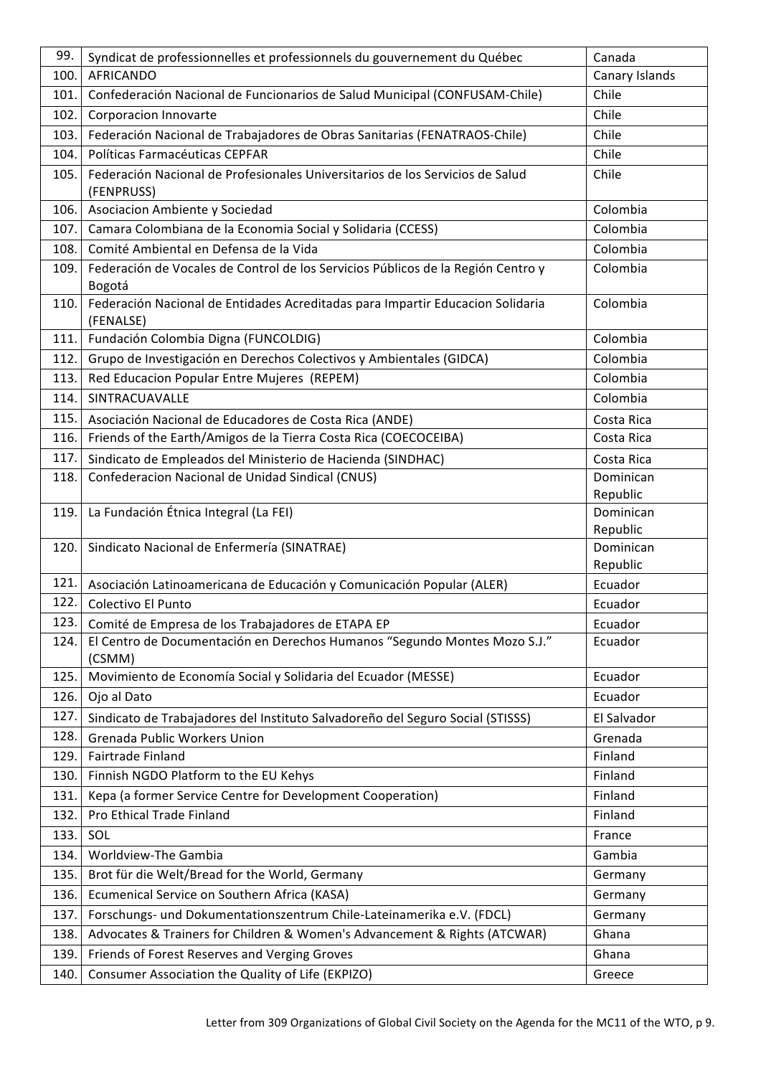| 99.   | Syndicat de professionnelles et professionnels du gouvernement du Québec                    | Canada                |
|-------|---------------------------------------------------------------------------------------------|-----------------------|
| 100.  | <b>AFRICANDO</b>                                                                            | Canary Islands        |
| 101.  | Confederación Nacional de Funcionarios de Salud Municipal (CONFUSAM-Chile)                  | Chile                 |
| 102.  | Corporacion Innovarte                                                                       | Chile                 |
| 103.  | Federación Nacional de Trabajadores de Obras Sanitarias (FENATRAOS-Chile)                   | Chile                 |
| 104.  | Políticas Farmacéuticas CEPFAR                                                              | Chile                 |
| 105.  | Federación Nacional de Profesionales Universitarios de los Servicios de Salud<br>(FENPRUSS) | Chile                 |
| 106.  | Asociacion Ambiente y Sociedad                                                              | Colombia              |
| 107.  | Camara Colombiana de la Economia Social y Solidaria (CCESS)                                 | Colombia              |
| 108.1 | Comité Ambiental en Defensa de la Vida                                                      | Colombia              |
| 109.  | Federación de Vocales de Control de los Servicios Públicos de la Región Centro y<br>Bogotá  | Colombia              |
| 110.  | Federación Nacional de Entidades Acreditadas para Impartir Educacion Solidaria<br>(FENALSE) | Colombia              |
| 111.  | Fundación Colombia Digna (FUNCOLDIG)                                                        | Colombia              |
| 112.  | Grupo de Investigación en Derechos Colectivos y Ambientales (GIDCA)                         | Colombia              |
| 113.  | Red Educacion Popular Entre Mujeres (REPEM)                                                 | Colombia              |
| 114.  | SINTRACUAVALLE                                                                              | Colombia              |
| 115.  | Asociación Nacional de Educadores de Costa Rica (ANDE)                                      | Costa Rica            |
| 116.  | Friends of the Earth/Amigos de la Tierra Costa Rica (COECOCEIBA)                            | Costa Rica            |
| 117.  | Sindicato de Empleados del Ministerio de Hacienda (SINDHAC)                                 | Costa Rica            |
| 118.  | Confederacion Nacional de Unidad Sindical (CNUS)                                            | Dominican             |
|       |                                                                                             | Republic              |
| 119.  | La Fundación Étnica Integral (La FEI)                                                       | Dominican             |
| 120.  | Sindicato Nacional de Enfermería (SINATRAE)                                                 | Republic<br>Dominican |
|       |                                                                                             | Republic              |
| 121.  | Asociación Latinoamericana de Educación y Comunicación Popular (ALER)                       | Ecuador               |
| 122.  | Colectivo El Punto                                                                          | Ecuador               |
| 123.  | Comité de Empresa de los Trabajadores de ETAPA EP                                           | Ecuador               |
| 124.  | El Centro de Documentación en Derechos Humanos "Segundo Montes Mozo S.J."<br>(CSMM)         | Ecuador               |
| 125.  | Movimiento de Economía Social y Solidaria del Ecuador (MESSE)                               | Ecuador               |
| 126.  | Ojo al Dato                                                                                 | Ecuador               |
| 127.  | Sindicato de Trabajadores del Instituto Salvadoreño del Seguro Social (STISSS)              | El Salvador           |
| 128.  | <b>Grenada Public Workers Union</b>                                                         | Grenada               |
| 129.  | Fairtrade Finland                                                                           | Finland               |
| 130.  | Finnish NGDO Platform to the EU Kehys                                                       | Finland               |
| 131.  | Kepa (a former Service Centre for Development Cooperation)                                  | Finland               |
| 132.  | Pro Ethical Trade Finland                                                                   | Finland               |
| 133.  | SOL                                                                                         | France                |
| 134.  | Worldview-The Gambia                                                                        | Gambia                |
| 135.  | Brot für die Welt/Bread for the World, Germany                                              | Germany               |
| 136.  | Ecumenical Service on Southern Africa (KASA)                                                | Germany               |
| 137.  | Forschungs- und Dokumentationszentrum Chile-Lateinamerika e.V. (FDCL)                       | Germany               |
| 138.  | Advocates & Trainers for Children & Women's Advancement & Rights (ATCWAR)                   | Ghana                 |
| 139.  | Friends of Forest Reserves and Verging Groves                                               | Ghana                 |
| 140.  | Consumer Association the Quality of Life (EKPIZO)                                           | Greece                |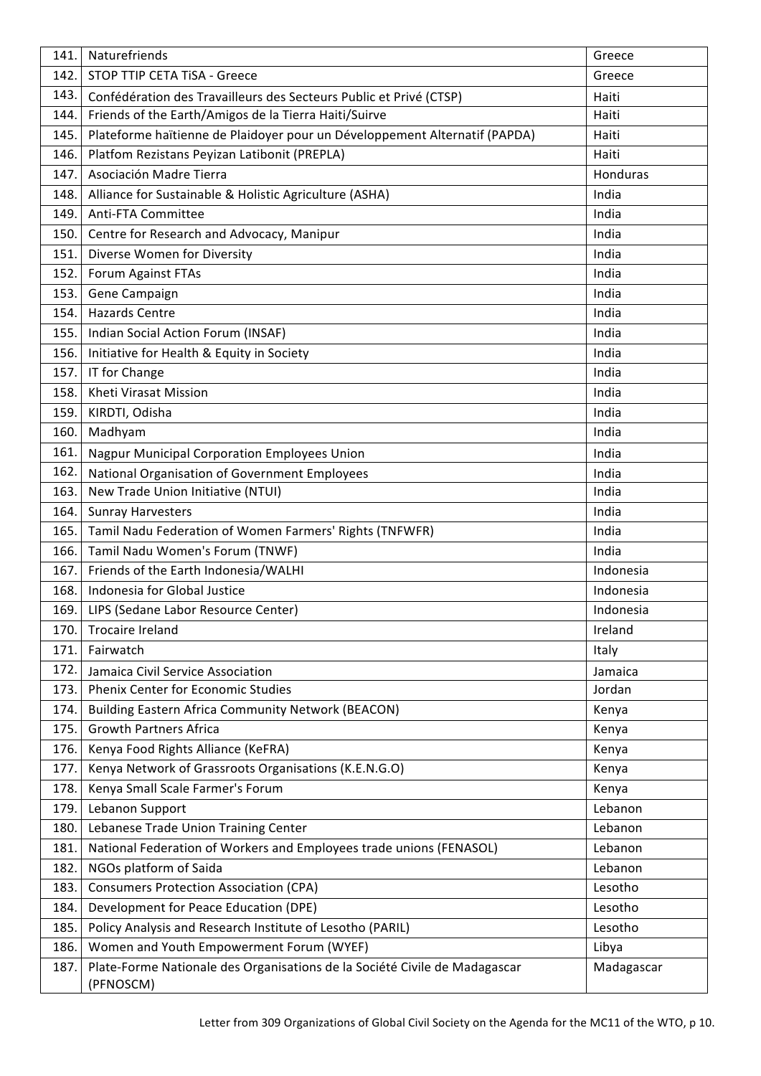| 141. | Naturefriends                                                                           | Greece     |
|------|-----------------------------------------------------------------------------------------|------------|
| 142. | STOP TTIP CETA TISA - Greece                                                            | Greece     |
| 143. | Confédération des Travailleurs des Secteurs Public et Privé (CTSP)                      | Haiti      |
| 144. | Friends of the Earth/Amigos de la Tierra Haiti/Suirve                                   | Haiti      |
| 145. | Plateforme haïtienne de Plaidoyer pour un Développement Alternatif (PAPDA)              | Haiti      |
| 146. | Platfom Rezistans Peyizan Latibonit (PREPLA)                                            | Haiti      |
| 147. | Asociación Madre Tierra                                                                 | Honduras   |
| 148. | Alliance for Sustainable & Holistic Agriculture (ASHA)                                  | India      |
| 149. | Anti-FTA Committee                                                                      | India      |
| 150. | Centre for Research and Advocacy, Manipur                                               | India      |
| 151. | Diverse Women for Diversity                                                             | India      |
| 152. | Forum Against FTAs                                                                      | India      |
| 153. | Gene Campaign                                                                           | India      |
| 154. | <b>Hazards Centre</b>                                                                   | India      |
| 155. | Indian Social Action Forum (INSAF)                                                      | India      |
| 156. | Initiative for Health & Equity in Society                                               | India      |
| 157. | IT for Change                                                                           | India      |
| 158. | Kheti Virasat Mission                                                                   | India      |
| 159. | KIRDTI, Odisha                                                                          | India      |
| 160. | Madhyam                                                                                 | India      |
| 161. | <b>Nagpur Municipal Corporation Employees Union</b>                                     | India      |
| 162. | National Organisation of Government Employees                                           | India      |
| 163. | New Trade Union Initiative (NTUI)                                                       | India      |
| 164. | <b>Sunray Harvesters</b>                                                                | India      |
| 165. | Tamil Nadu Federation of Women Farmers' Rights (TNFWFR)                                 | India      |
| 166. | Tamil Nadu Women's Forum (TNWF)                                                         | India      |
| 167. | Friends of the Earth Indonesia/WALHI                                                    | Indonesia  |
| 168. | Indonesia for Global Justice                                                            | Indonesia  |
| 169. | LIPS (Sedane Labor Resource Center)                                                     | Indonesia  |
| 170. | <b>Trocaire Ireland</b>                                                                 | Ireland    |
| 171. | Fairwatch                                                                               | Italy      |
| 172. | Jamaica Civil Service Association                                                       | Jamaica    |
| 173. | <b>Phenix Center for Economic Studies</b>                                               | Jordan     |
| 174. | <b>Building Eastern Africa Community Network (BEACON)</b>                               | Kenya      |
| 175. | <b>Growth Partners Africa</b>                                                           | Kenya      |
| 176. | Kenya Food Rights Alliance (KeFRA)                                                      | Kenya      |
| 177. | Kenya Network of Grassroots Organisations (K.E.N.G.O)                                   | Kenya      |
| 178. | Kenya Small Scale Farmer's Forum                                                        | Kenya      |
| 179. | Lebanon Support                                                                         | Lebanon    |
| 180. | Lebanese Trade Union Training Center                                                    | Lebanon    |
| 181. | National Federation of Workers and Employees trade unions (FENASOL)                     | Lebanon    |
| 182. | NGOs platform of Saida                                                                  | Lebanon    |
| 183. | <b>Consumers Protection Association (CPA)</b>                                           | Lesotho    |
| 184. | Development for Peace Education (DPE)                                                   | Lesotho    |
| 185. | Policy Analysis and Research Institute of Lesotho (PARIL)                               | Lesotho    |
| 186. | Women and Youth Empowerment Forum (WYEF)                                                | Libya      |
| 187. | Plate-Forme Nationale des Organisations de la Société Civile de Madagascar<br>(PFNOSCM) | Madagascar |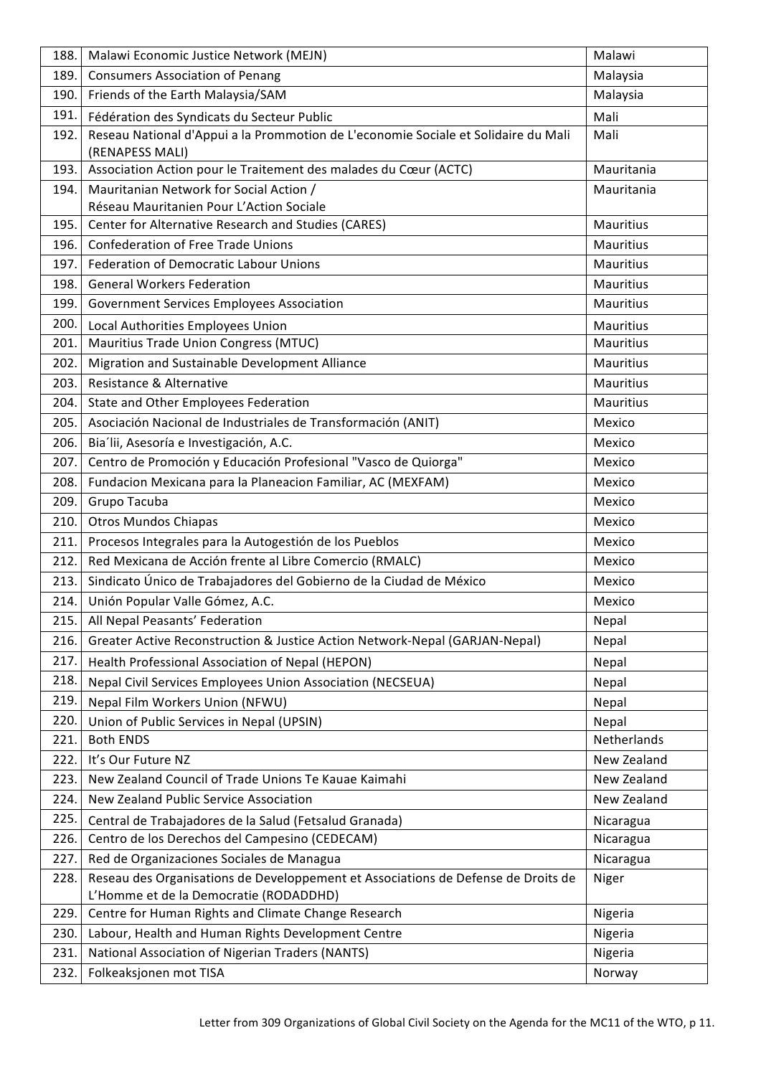| 188. | Malawi Economic Justice Network (MEJN)                                                                                      | Malawi           |
|------|-----------------------------------------------------------------------------------------------------------------------------|------------------|
| 189. | <b>Consumers Association of Penang</b>                                                                                      | Malaysia         |
| 190. | Friends of the Earth Malaysia/SAM                                                                                           | Malaysia         |
| 191. | Fédération des Syndicats du Secteur Public                                                                                  | Mali             |
| 192. | Reseau National d'Appui a la Prommotion de L'economie Sociale et Solidaire du Mali<br>(RENAPESS MALI)                       | Mali             |
| 193. | Association Action pour le Traitement des malades du Cœur (ACTC)                                                            | Mauritania       |
| 194. | Mauritanian Network for Social Action /                                                                                     | Mauritania       |
|      | Réseau Mauritanien Pour L'Action Sociale                                                                                    |                  |
| 195. | Center for Alternative Research and Studies (CARES)                                                                         | <b>Mauritius</b> |
| 196. | <b>Confederation of Free Trade Unions</b>                                                                                   | Mauritius        |
| 197. | <b>Federation of Democratic Labour Unions</b>                                                                               | Mauritius        |
| 198. | <b>General Workers Federation</b>                                                                                           | Mauritius        |
| 199. | <b>Government Services Employees Association</b>                                                                            | Mauritius        |
| 200. | Local Authorities Employees Union                                                                                           | Mauritius        |
| 201. | Mauritius Trade Union Congress (MTUC)                                                                                       | Mauritius        |
| 202. | Migration and Sustainable Development Alliance                                                                              | Mauritius        |
| 203. | Resistance & Alternative                                                                                                    | Mauritius        |
| 204. | State and Other Employees Federation                                                                                        | Mauritius        |
| 205. | Asociación Nacional de Industriales de Transformación (ANIT)                                                                | Mexico           |
| 206. | Bia'lii, Asesoría e Investigación, A.C.                                                                                     | Mexico           |
| 207. | Centro de Promoción y Educación Profesional "Vasco de Quiorga"                                                              | Mexico           |
| 208. | Fundacion Mexicana para la Planeacion Familiar, AC (MEXFAM)                                                                 | Mexico           |
| 209. | Grupo Tacuba                                                                                                                | Mexico           |
| 210. | <b>Otros Mundos Chiapas</b>                                                                                                 | Mexico           |
| 211. | Procesos Integrales para la Autogestión de los Pueblos                                                                      | Mexico           |
| 212. | Red Mexicana de Acción frente al Libre Comercio (RMALC)                                                                     | Mexico           |
| 213. | Sindicato Único de Trabajadores del Gobierno de la Ciudad de México                                                         | Mexico           |
| 214. | Unión Popular Valle Gómez, A.C.                                                                                             | Mexico           |
| 215. | All Nepal Peasants' Federation                                                                                              | Nepal            |
| 216. | Greater Active Reconstruction & Justice Action Network-Nepal (GARJAN-Nepal)                                                 | Nepal            |
| 217. | Health Professional Association of Nepal (HEPON)                                                                            | Nepal            |
| 218. | <b>Nepal Civil Services Employees Union Association (NECSEUA)</b>                                                           | Nepal            |
| 219. | Nepal Film Workers Union (NFWU)                                                                                             | Nepal            |
| 220. | Union of Public Services in Nepal (UPSIN)                                                                                   | Nepal            |
| 221. | <b>Both ENDS</b>                                                                                                            | Netherlands      |
| 222. | It's Our Future NZ                                                                                                          | New Zealand      |
| 223. | New Zealand Council of Trade Unions Te Kauae Kaimahi                                                                        | New Zealand      |
| 224. | New Zealand Public Service Association                                                                                      | New Zealand      |
| 225. | Central de Trabajadores de la Salud (Fetsalud Granada)                                                                      | Nicaragua        |
| 226. | Centro de los Derechos del Campesino (CEDECAM)                                                                              | Nicaragua        |
| 227. | Red de Organizaciones Sociales de Managua                                                                                   | Nicaragua        |
| 228. | Reseau des Organisations de Developpement et Associations de Defense de Droits de<br>L'Homme et de la Democratie (RODADDHD) | Niger            |
| 229. | Centre for Human Rights and Climate Change Research                                                                         | Nigeria          |
| 230. | Labour, Health and Human Rights Development Centre                                                                          | Nigeria          |
| 231. | National Association of Nigerian Traders (NANTS)                                                                            | Nigeria          |
| 232. | Folkeaksjonen mot TISA                                                                                                      | Norway           |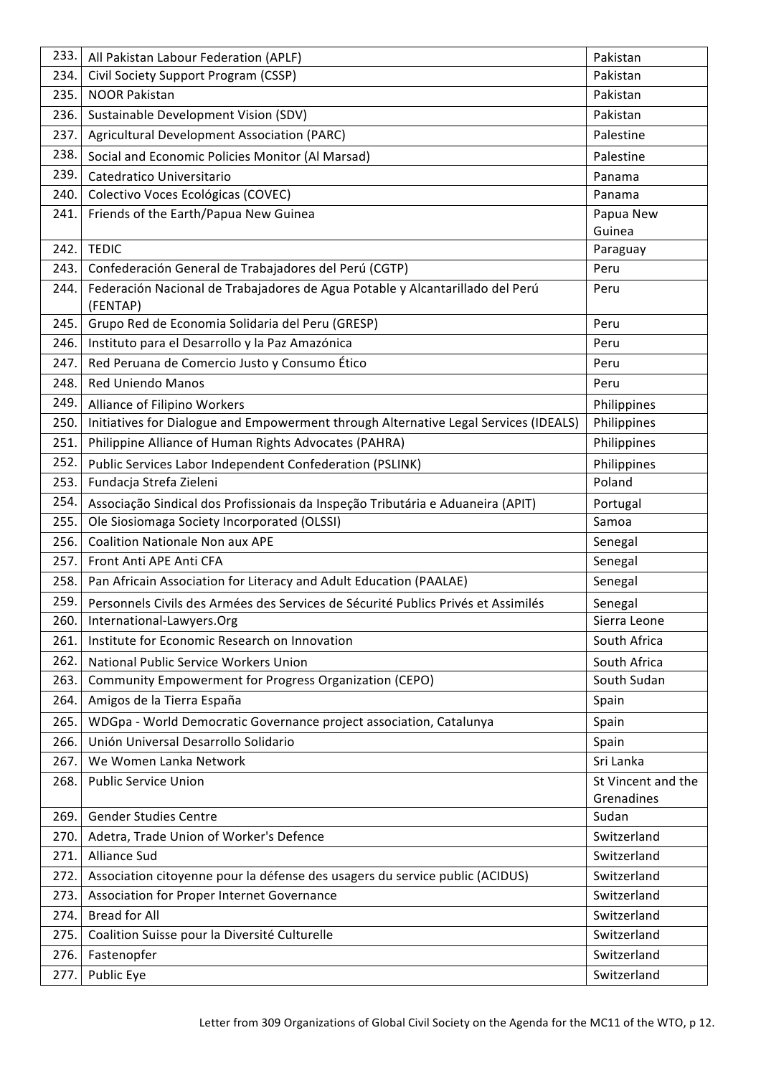| 233. | All Pakistan Labour Federation (APLF)                                                     | Pakistan                         |
|------|-------------------------------------------------------------------------------------------|----------------------------------|
| 234. | Civil Society Support Program (CSSP)                                                      | Pakistan                         |
| 235. | <b>NOOR Pakistan</b>                                                                      | Pakistan                         |
| 236. | Sustainable Development Vision (SDV)                                                      | Pakistan                         |
| 237. | Agricultural Development Association (PARC)                                               | Palestine                        |
| 238. | Social and Economic Policies Monitor (Al Marsad)                                          | Palestine                        |
| 239. | Catedratico Universitario                                                                 | Panama                           |
| 240. | Colectivo Voces Ecológicas (COVEC)                                                        | Panama                           |
| 241. | Friends of the Earth/Papua New Guinea                                                     | Papua New                        |
|      |                                                                                           | Guinea                           |
| 242. | <b>TEDIC</b>                                                                              | Paraguay                         |
| 243. | Confederación General de Trabajadores del Perú (CGTP)                                     | Peru                             |
| 244. | Federación Nacional de Trabajadores de Agua Potable y Alcantarillado del Perú<br>(FENTAP) | Peru                             |
| 245. | Grupo Red de Economia Solidaria del Peru (GRESP)                                          | Peru                             |
| 246. | Instituto para el Desarrollo y la Paz Amazónica                                           | Peru                             |
| 247. | Red Peruana de Comercio Justo y Consumo Ético                                             | Peru                             |
| 248. | <b>Red Uniendo Manos</b>                                                                  | Peru                             |
| 249. | Alliance of Filipino Workers                                                              | Philippines                      |
| 250. | Initiatives for Dialogue and Empowerment through Alternative Legal Services (IDEALS)      | Philippines                      |
| 251. | Philippine Alliance of Human Rights Advocates (PAHRA)                                     | Philippines                      |
| 252. | Public Services Labor Independent Confederation (PSLINK)                                  | Philippines                      |
| 253. | Fundacja Strefa Zieleni                                                                   | Poland                           |
| 254. | Associação Sindical dos Profissionais da Inspeção Tributária e Aduaneira (APIT)           | Portugal                         |
| 255. | Ole Siosiomaga Society Incorporated (OLSSI)                                               | Samoa                            |
| 256. | <b>Coalition Nationale Non aux APE</b>                                                    | Senegal                          |
| 257. | Front Anti APE Anti CFA                                                                   | Senegal                          |
| 258. | Pan Africain Association for Literacy and Adult Education (PAALAE)                        | Senegal                          |
| 259. | Personnels Civils des Armées des Services de Sécurité Publics Privés et Assimilés         | Senegal                          |
| 260. | International-Lawyers.Org                                                                 | Sierra Leone                     |
| 261. | Institute for Economic Research on Innovation                                             | South Africa                     |
| 262. | National Public Service Workers Union                                                     | South Africa                     |
| 263. | Community Empowerment for Progress Organization (CEPO)                                    | South Sudan                      |
| 264. | Amigos de la Tierra España                                                                | Spain                            |
| 265. | WDGpa - World Democratic Governance project association, Catalunya                        | Spain                            |
| 266. | Unión Universal Desarrollo Solidario                                                      | Spain                            |
| 267. | We Women Lanka Network                                                                    | Sri Lanka                        |
| 268. | <b>Public Service Union</b>                                                               | St Vincent and the<br>Grenadines |
| 269. | <b>Gender Studies Centre</b>                                                              | Sudan                            |
| 270. | Adetra, Trade Union of Worker's Defence                                                   | Switzerland                      |
| 271. | <b>Alliance Sud</b>                                                                       | Switzerland                      |
| 272. | Association citoyenne pour la défense des usagers du service public (ACIDUS)              | Switzerland                      |
| 273. | Association for Proper Internet Governance                                                | Switzerland                      |
| 274. | <b>Bread for All</b>                                                                      | Switzerland                      |
| 275. | Coalition Suisse pour la Diversité Culturelle                                             | Switzerland                      |
| 276. | Fastenopfer                                                                               | Switzerland                      |
| 277. | Public Eye                                                                                | Switzerland                      |